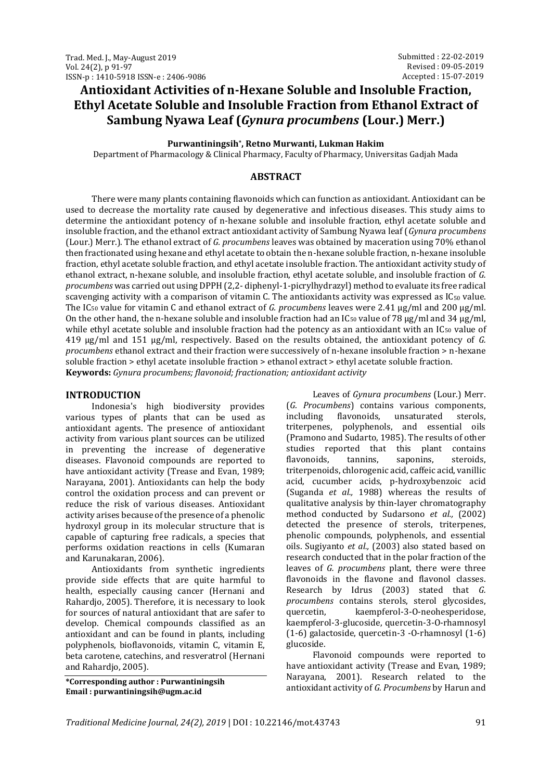# **Antioxidant Activities of n-Hexane Soluble and Insoluble Fraction, Ethyl Acetate Soluble and Insoluble Fraction from Ethanol Extract of Sambung Nyawa Leaf (***Gynura procumbens* **(Lour.) Merr.)**

**Purwantiningsih\* , Retno Murwanti, Lukman Hakim**

Department of Pharmacology & Clinical Pharmacy, Faculty of Pharmacy, Universitas Gadjah Mada

### **ABSTRACT**

There were many plants containing flavonoids which can function as antioxidant. Antioxidant can be used to decrease the mortality rate caused by degenerative and infectious diseases. This study aims to determine the antioxidant potency of n-hexane soluble and insoluble fraction, ethyl acetate soluble and insoluble fraction, and the ethanol extract antioxidant activity of Sambung Nyawa leaf (*Gynura procumbens* (Lour.) Merr.). The ethanol extract of *G. procumbens* leaves was obtained by maceration using 70% ethanol then fractionated using hexane and ethyl acetate to obtain the n-hexane soluble fraction, n-hexane insoluble fraction, ethyl acetate soluble fraction, and ethyl acetate insoluble fraction. The antioxidant activity study of ethanol extract, n-hexane soluble, and insoluble fraction, ethyl acetate soluble, and insoluble fraction of *G. procumbens* was carried out using DPPH (2,2- diphenyl-1-picrylhydrazyl) method to evaluate its free radical scavenging activity with a comparison of vitamin C. The antioxidants activity was expressed as IC<sub>50</sub> value. The IC<sup>50</sup> value for vitamin C and ethanol extract of *G. procumbens* leaves were 2.41 µg/ml and 200 µg/ml. On the other hand, the n-hexane soluble and insoluble fraction had an  $IC_{50}$  value of 78  $\mu$ g/ml and 34  $\mu$ g/ml, while ethyl acetate soluble and insoluble fraction had the potency as an antioxidant with an  $IC_{50}$  value of 419 µg/ml and 151 μg/ml, respectively. Based on the results obtained, the antioxidant potency of *G. procumbens* ethanol extract and their fraction were successively of n-hexane insoluble fraction > n-hexane soluble fraction > ethyl acetate insoluble fraction > ethanol extract > ethyl acetate soluble fraction. **Keywords:** *Gynura procumbens; flavonoid; fractionation; antioxidant activity*

### **INTRODUCTION**

Indonesia's high biodiversity provides various types of plants that can be used as antioxidant agents. The presence of antioxidant activity from various plant sources can be utilized in preventing the increase of degenerative diseases. Flavonoid compounds are reported to have antioxidant activity (Trease and Evan, 1989; Narayana, 2001). Antioxidants can help the body control the oxidation process and can prevent or reduce the risk of various diseases. Antioxidant activity arises because of the presence of a phenolic hydroxyl group in its molecular structure that is capable of capturing free radicals, a species that performs oxidation reactions in cells (Kumaran and Karunakaran, 2006).

Antioxidants from synthetic ingredients provide side effects that are quite harmful to health, especially causing cancer (Hernani and Rahardjo, 2005). Therefore, it is necessary to look for sources of natural antioxidant that are safer to develop. Chemical compounds classified as an antioxidant and can be found in plants, including polyphenols, bioflavonoids, vitamin C, vitamin E, beta carotene, catechins, and resveratrol (Hernani and Rahardjo, 2005).

**\*Corresponding author : Purwantiningsih Email : purwantiningsih@ugm.ac.id**

Leaves of *Gynura procumbens* (Lour.) Merr. (*G. Procumbens*) contains various components, including flavonoids, unsaturated sterols, triterpenes, polyphenols, and essential oils (Pramono and Sudarto, 1985). The results of other studies reported that this plant contains flavonoids, tannins, saponins, steroids, triterpenoids, chlorogenic acid, caffeic acid, vanillic acid, cucumber acids, p-hydroxybenzoic acid (Suganda *et al.,* 1988) whereas the results of qualitative analysis by thin-layer chromatography method conducted by Sudarsono *et al.,* (2002) detected the presence of sterols, triterpenes, phenolic compounds, polyphenols, and essential oils. Sugiyanto *et al.,* (2003) also stated based on research conducted that in the polar fraction of the leaves of *G. procumbens* plant, there were three flavonoids in the flavone and flavonol classes. Research by Idrus (2003) stated that *G. procumbens* contains sterols, sterol glycosides, quercetin, kaempferol-3-O-neohesperidose, kaempferol-3-glucoside, quercetin-3-O-rhamnosyl (1-6) galactoside, quercetin-3 -O-rhamnosyl (1-6) glucoside.

Flavonoid compounds were reported to have antioxidant activity (Trease and Evan, 1989; Narayana, 2001). Research related to the antioxidant activity of *G. Procumbens* by Harun and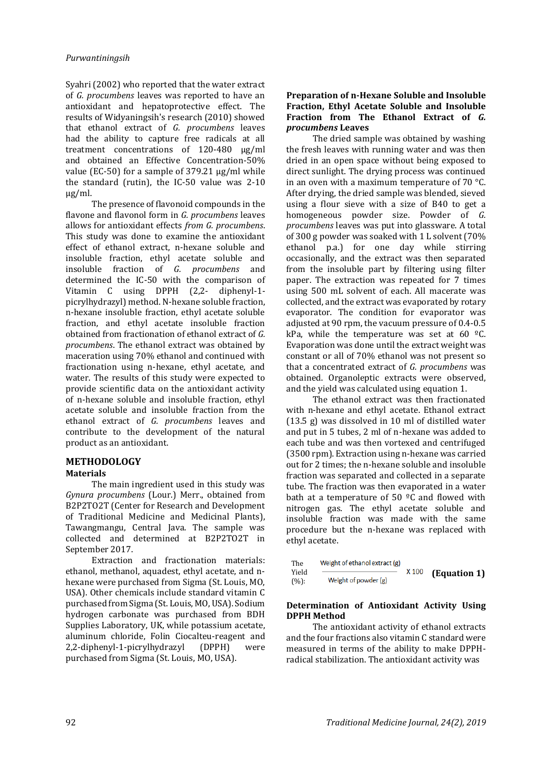Syahri (2002) who reported that the water extract of *G. procumbens* leaves was reported to have an antioxidant and hepatoprotective effect. The results of Widyaningsih's research (2010) showed that ethanol extract of *G. procumbens* leaves had the ability to capture free radicals at all treatment concentrations of 120-480 µg/ml and obtained an Effective Concentration-50% value (EC-50) for a sample of 379.21 µg/ml while the standard (rutin), the IC-50 value was 2-10 µg/ml.

The presence of flavonoid compounds in the flavone and flavonol form in *G. procumbens* leaves allows for antioxidant effects *from G. procumbens*. This study was done to examine the antioxidant effect of ethanol extract, n-hexane soluble and insoluble fraction, ethyl acetate soluble and insoluble fraction of *G. procumbens* and determined the IC-50 with the comparison of Vitamin C using DPPH (2,2- diphenyl-1 picrylhydrazyl) method. N-hexane soluble fraction, n-hexane insoluble fraction, ethyl acetate soluble fraction, and ethyl acetate insoluble fraction obtained from fractionation of ethanol extract of *G. procumbens*. The ethanol extract was obtained by maceration using 70% ethanol and continued with fractionation using n-hexane, ethyl acetate, and water. The results of this study were expected to provide scientific data on the antioxidant activity of n-hexane soluble and insoluble fraction, ethyl acetate soluble and insoluble fraction from the ethanol extract of *G. procumbens* leaves and contribute to the development of the natural product as an antioxidant.

#### **METHODOLOGY Materials**

The main ingredient used in this study was *Gynura procumbens* (Lour.) Merr., obtained from B2P2TO2T (Center for Research and Development of Traditional Medicine and Medicinal Plants), Tawangmangu, Central Java. The sample was collected and determined at B2P2TO2T in September 2017.

Extraction and fractionation materials: ethanol, methanol, aquadest, ethyl acetate, and nhexane were purchased from Sigma (St. Louis, MO, USA). Other chemicals include standard vitamin C purchased from Sigma (St. Louis, MO, USA). Sodium hydrogen carbonate was purchased from BDH Supplies Laboratory, UK, while potassium acetate, aluminum chloride, Folin Ciocalteu-reagent and 2,2-diphenyl-1-picrylhydrazyl (DPPH) were purchased from Sigma (St. Louis, MO, USA).

### **Preparation of n-Hexane Soluble and Insoluble Fraction, Ethyl Acetate Soluble and Insoluble Fraction from The Ethanol Extract of** *G. procumbens* **Leaves**

The dried sample was obtained by washing the fresh leaves with running water and was then dried in an open space without being exposed to direct sunlight. The drying process was continued in an oven with a maximum temperature of  $70^{\circ}$ C. After drying, the dried sample was blended, sieved using a flour sieve with a size of B40 to get a homogeneous powder size. Powder of *G. procumbens* leaves was put into glassware. A total of 300 g powder was soaked with 1 L solvent (70% ethanol p.a.) for one day while stirring occasionally, and the extract was then separated from the insoluble part by filtering using filter paper. The extraction was repeated for 7 times using 500 mL solvent of each. All macerate was collected, and the extract was evaporated by rotary evaporator. The condition for evaporator was adjusted at 90 rpm, the vacuum pressure of 0.4-0.5 kPa, while the temperature was set at 60  $^{\circ}$ C. Evaporation was done until the extract weight was constant or all of 70% ethanol was not present so that a concentrated extract of *G. procumbens* was obtained. Organoleptic extracts were observed, and the yield was calculated using equation 1.

The ethanol extract was then fractionated with n-hexane and ethyl acetate. Ethanol extract (13.5 g) was dissolved in 10 ml of distilled water and put in 5 tubes, 2 ml of n-hexane was added to each tube and was then vortexed and centrifuged (3500 rpm). Extraction using n-hexane was carried out for 2 times; the n-hexane soluble and insoluble fraction was separated and collected in a separate tube. The fraction was then evaporated in a water bath at a temperature of 50  $^{\circ}$ C and flowed with nitrogen gas. The ethyl acetate soluble and insoluble fraction was made with the same procedure but the n-hexane was replaced with ethyl acetate.

The Weight of ethanol extract (g)  
Yield  

$$
(\frac{1}{2})
$$
 × 100 **(Equation 1)**  
 $(\frac{1}{2})$ 

### **Determination of Antioxidant Activity Using DPPH Method**

The antioxidant activity of ethanol extracts and the four fractions also vitamin C standard were measured in terms of the ability to make DPPHradical stabilization. The antioxidant activity was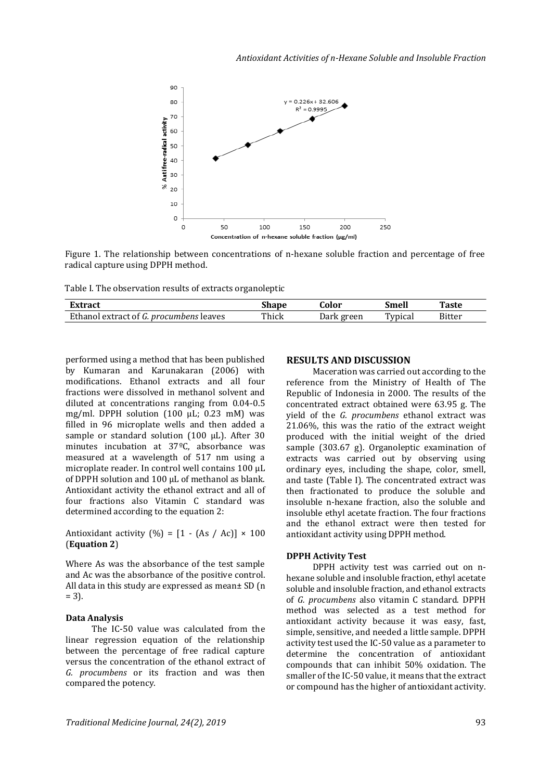

Figure 1. The relationship between concentrations of n-hexane soluble fraction and percentage of free radical capture using DPPH method.

Table I. The observation results of extracts organoleptic

| fivtro <i>et</i>                                           | shape | .'olor | Smell   | <b>Taste</b> |
|------------------------------------------------------------|-------|--------|---------|--------------|
| Ethanol<br>leaves<br>ocumbens<br>. extract<br>nroc<br>. OT | Thick | green  | Typical | Bitter       |

performed using a method that has been published by Kumaran and Karunakaran (2006) with modifications. Ethanol extracts and all four fractions were dissolved in methanol solvent and diluted at concentrations ranging from 0.04-0.5 mg/ml. DPPH solution (100 µL; 0.23 mM) was filled in 96 microplate wells and then added a sample or standard solution (100  $\mu$ L). After 30 minutes incubation at 37ºC, absorbance was measured at a wavelength of 517 nm using a microplate reader. In control well contains 100 µL of DPPH solution and 100  $\mu$ L of methanol as blank. Antioxidant activity the ethanol extract and all of four fractions also Vitamin C standard was determined according to the equation 2:

Antioxidant activity  $(\% ) = [1 - (As / Ac)] \times 100$ (**Equation 2**)

Where As was the absorbance of the test sample and Ac was the absorbance of the positive control. All data in this study are expressed as mean± SD (n  $= 3$ ).

#### **Data Analysis**

The IC-50 value was calculated from the linear regression equation of the relationship between the percentage of free radical capture versus the concentration of the ethanol extract of *G. procumbens* or its fraction and was then compared the potency.

#### **RESULTS AND DISCUSSION**

Maceration was carried out according to the reference from the Ministry of Health of The Republic of Indonesia in 2000. The results of the concentrated extract obtained were 63.95 g. The yield of the *G. procumbens* ethanol extract was 21.06%, this was the ratio of the extract weight produced with the initial weight of the dried sample (303.67 g). Organoleptic examination of extracts was carried out by observing using ordinary eyes, including the shape, color, smell, and taste (Table I). The concentrated extract was then fractionated to produce the soluble and insoluble n-hexane fraction, also the soluble and insoluble ethyl acetate fraction. The four fractions and the ethanol extract were then tested for antioxidant activity using DPPH method.

#### **DPPH Activity Test**

DPPH activity test was carried out on nhexane soluble and insoluble fraction, ethyl acetate soluble and insoluble fraction, and ethanol extracts of *G. procumbens* also vitamin C standard. DPPH method was selected as a test method for antioxidant activity because it was easy, fast, simple, sensitive, and needed a little sample. DPPH activity test used the IC-50 value as a parameter to determine the concentration of antioxidant compounds that can inhibit 50% oxidation. The smaller of the IC-50 value, it means that the extract or compound has the higher of antioxidant activity.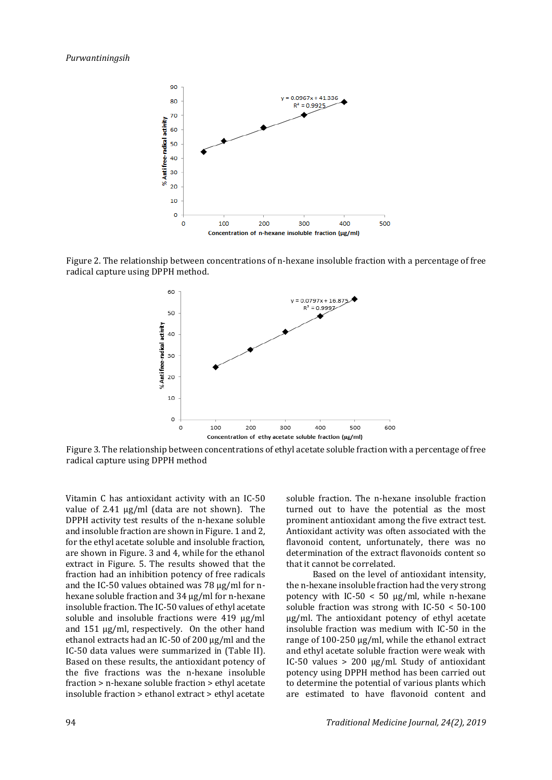

Figure 2. The relationship between concentrations of n-hexane insoluble fraction with a percentage of free radical capture using DPPH method.



Figure 3. The relationship between concentrations of ethyl acetate soluble fraction with a percentage of free radical capture using DPPH method

Vitamin C has antioxidant activity with an IC-50 value of 2.41 µg/ml (data are not shown). The DPPH activity test results of the n-hexane soluble and insoluble fraction are shown in Figure. 1 and 2, for the ethyl acetate soluble and insoluble fraction, are shown in Figure. 3 and 4, while for the ethanol extract in Figure. 5. The results showed that the fraction had an inhibition potency of free radicals and the IC-50 values obtained was 78 ug/ml for nhexane soluble fraction and 34 µg/ml for n-hexane insoluble fraction. The IC-50 values of ethyl acetate soluble and insoluble fractions were 419 µg/ml and 151 µg/ml, respectively. On the other hand ethanol extracts had an IC-50 of 200 µg/ml and the IC-50 data values were summarized in (Table II). Based on these results, the antioxidant potency of the five fractions was the n-hexane insoluble fraction > n-hexane soluble fraction > ethyl acetate insoluble fraction > ethanol extract > ethyl acetate soluble fraction. The n-hexane insoluble fraction turned out to have the potential as the most prominent antioxidant among the five extract test. Antioxidant activity was often associated with the flavonoid content, unfortunately, there was no determination of the extract flavonoids content so that it cannot be correlated.

Based on the level of antioxidant intensity, the n-hexane insoluble fraction had the very strong potency with IC-50  $<$  50  $\mu$ g/ml, while n-hexane soluble fraction was strong with IC-50 < 50-100 µg/ml. The antioxidant potency of ethyl acetate insoluble fraction was medium with IC-50 in the range of 100-250 µg/ml, while the ethanol extract and ethyl acetate soluble fraction were weak with IC-50 values > 200 µg/ml. Study of antioxidant potency using DPPH method has been carried out to determine the potential of various plants which are estimated to have flavonoid content and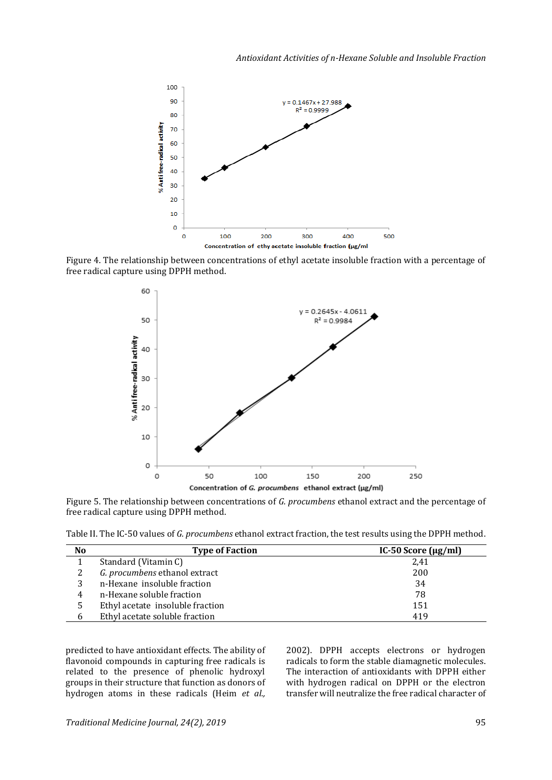

Figure 4. The relationship between concentrations of ethyl acetate insoluble fraction with a percentage of free radical capture using DPPH method.



Figure 5. The relationship between concentrations of *G. procumbens* ethanol extract and the percentage of free radical capture using DPPH method.

Table II. The IC-50 values of *G. procumbens* ethanol extract fraction, the test results using the DPPH method.

| No | <b>Type of Faction</b>           | IC-50 Score $(\mu g/ml)$ |
|----|----------------------------------|--------------------------|
|    | Standard (Vitamin C)             | 2,41                     |
|    | G. procumbens ethanol extract    | 200                      |
|    | n-Hexane insoluble fraction      | 34                       |
| 4  | n-Hexane soluble fraction        | 78                       |
| 5  | Ethyl acetate insoluble fraction | 151                      |
| b  | Ethyl acetate soluble fraction   | 419                      |

predicted to have antioxidant effects. The ability of flavonoid compounds in capturing free radicals is related to the presence of phenolic hydroxyl groups in their structure that function as donors of hydrogen atoms in these radicals (Heim *et al.,*

2002). DPPH accepts electrons or hydrogen radicals to form the stable diamagnetic molecules. The interaction of antioxidants with DPPH either with hydrogen radical on DPPH or the electron transfer will neutralize the free radical character of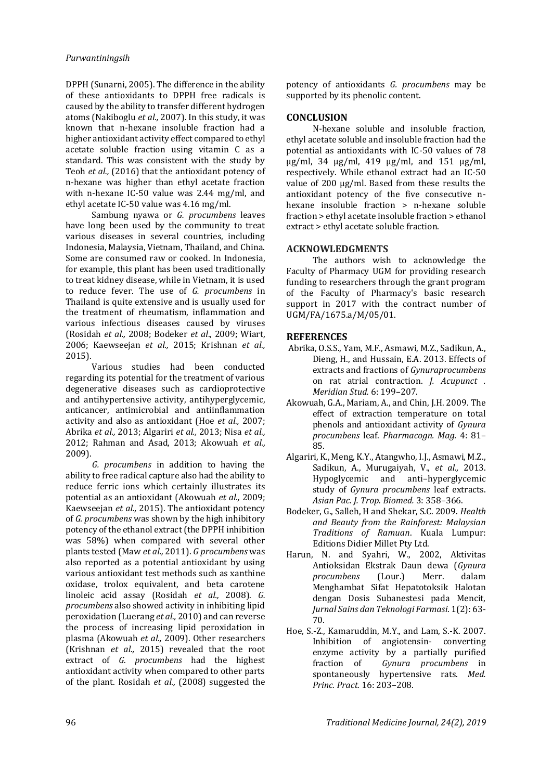DPPH (Sunarni, 2005). The difference in the ability of these antioxidants to DPPH free radicals is caused by the ability to transfer different hydrogen atoms (Nakiboglu *et al.,* 2007). In this study, it was known that n-hexane insoluble fraction had a higher antioxidant activity effect compared to ethyl acetate soluble fraction using vitamin C as a standard. This was consistent with the study by Teoh *et al.,* (2016) that the antioxidant potency of n-hexane was higher than ethyl acetate fraction with n-hexane IC-50 value was 2.44 mg/ml, and ethyl acetate IC-50 value was 4.16 mg/ml.

Sambung nyawa or *G. procumbens* leaves have long been used by the community to treat various diseases in several countries, including Indonesia, Malaysia, Vietnam, Thailand, and China. Some are consumed raw or cooked. In Indonesia, for example, this plant has been used traditionally to treat kidney disease, while in Vietnam, it is used to reduce fever. The use of *G. procumbens* in Thailand is quite extensive and is usually used for the treatment of rheumatism, inflammation and various infectious diseases caused by viruses (Rosidah *et al.,* 2008; Bodeker *et al*., 2009; Wiart, 2006; Kaewseejan *et al.,* 2015; Krishnan *et al.,* 2015).

Various studies had been conducted regarding its potential for the treatment of various degenerative diseases such as cardioprotective and antihypertensive activity, antihyperglycemic, anticancer, antimicrobial and antiinflammation activity and also as antioxidant (Hoe *et al.,* 2007; Abrika *et al.,* 2013; Algariri *et al.,* 2013; Nisa *et al.,* 2012; Rahman and Asad, 2013; Akowuah *et al.,* 2009).

*G. procumbens* in addition to having the ability to free radical capture also had the ability to reduce ferric ions which certainly illustrates its potential as an antioxidant (Akowuah *et al.,* 2009; Kaewseejan *et al.,* 2015). The antioxidant potency of *G. procumbens* was shown by the high inhibitory potency of the ethanol extract (the DPPH inhibition was 58%) when compared with several other plants tested (Maw *et al.,* 2011). *G procumbens* was also reported as a potential antioxidant by using various antioxidant test methods such as xanthine oxidase, trolox equivalent, and beta carotene linoleic acid assay (Rosidah *et al.,* 2008). *G. procumbens* also showed activity in inhibiting lipid peroxidation (Luerang *et al.,* 2010) and can reverse the process of increasing lipid peroxidation in plasma (Akowuah *et al.,* 2009). Other researchers (Krishnan *et al.,* 2015) revealed that the root extract of *G. procumbens* had the highest antioxidant activity when compared to other parts of the plant. Rosidah *et al.,* (2008) suggested the

potency of antioxidants *G. procumbens* may be supported by its phenolic content.

# **CONCLUSION**

N-hexane soluble and insoluble fraction, ethyl acetate soluble and insoluble fraction had the potential as antioxidants with IC-50 values of 78 µg/ml, 34 µg/ml, 419 µg/ml, and 151 µg/ml, respectively. While ethanol extract had an IC-50 value of 200 µg/ml. Based from these results the antioxidant potency of the five consecutive nhexane insoluble fraction > n-hexane soluble fraction > ethyl acetate insoluble fraction > ethanol extract > ethyl acetate soluble fraction.

## **ACKNOWLEDGMENTS**

The authors wish to acknowledge the Faculty of Pharmacy UGM for providing research funding to researchers through the grant program of the Faculty of Pharmacy's basic research support in 2017 with the contract number of UGM/FA/1675.a/M/05/01.

# **REFERENCES**

- Abrika, O.S.S., Yam, M.F., Asmawi, M.Z., Sadikun, A., Dieng, H., and Hussain, E.A. 2013. Effects of extracts and fractions of *Gynuraprocumbens*  on rat atrial contraction. *J. Acupunct . Meridian Stud.* 6: 199–207.
- Akowuah, G.A., Mariam, A., and Chin, J.H. 2009. The effect of extraction temperature on total phenols and antioxidant activity of *Gynura procumbens* leaf. *Pharmacogn. Mag.* 4: 81– 85.
- Algariri, K., Meng, K.Y., Atangwho, I.J., Asmawi, M.Z., Sadikun, A., Murugaiyah, V., *et al.,* 2013. Hypoglycemic and anti–hyperglycemic study of *Gynura procumbens* leaf extracts. *Asian Pac. J. Trop. Biomed.* 3: 358–366.
- Bodeker, G., Salleh, H and Shekar, S.C. 2009. *Health and Beauty from the Rainforest: Malaysian Traditions of Ramuan*. Kuala Lumpur: Editions Didier Millet Pty Ltd.
- Harun, N. and Syahri, W., 2002, Aktivitas Antioksidan Ekstrak Daun dewa (*Gynura procumbens* (Lour.) Merr. dalam Menghambat Sifat Hepatotoksik Halotan dengan Dosis Subanestesi pada Mencit, *Jurnal Sains dan Teknologi Farmasi*. 1(2): 63- 70.
- Hoe, S.-Z., Kamaruddin, M.Y., and Lam, S.-K. 2007. Inhibition of angiotensin- converting enzyme activity by a partially purified fraction of *Gynura procumbens* in spontaneously hypertensive rats. *Med. Princ. Pract.* 16: 203–208.